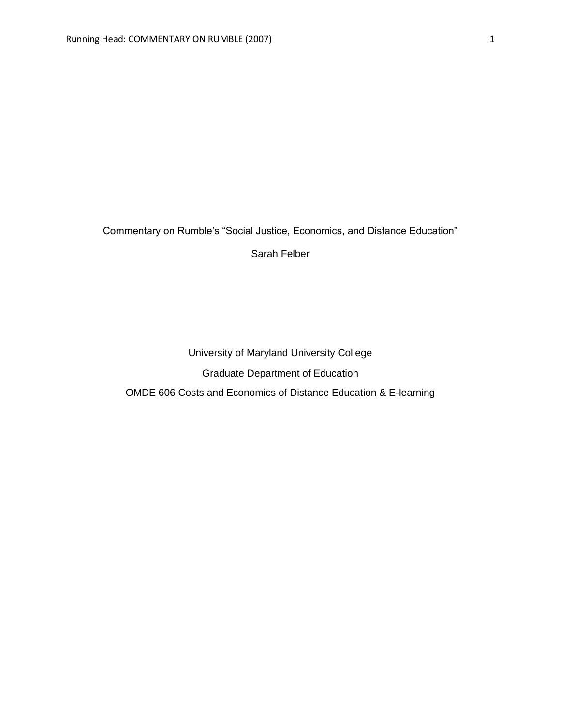Commentary on Rumble's "Social Justice, Economics, and Distance Education"

Sarah Felber

University of Maryland University College Graduate Department of Education OMDE 606 Costs and Economics of Distance Education & E-learning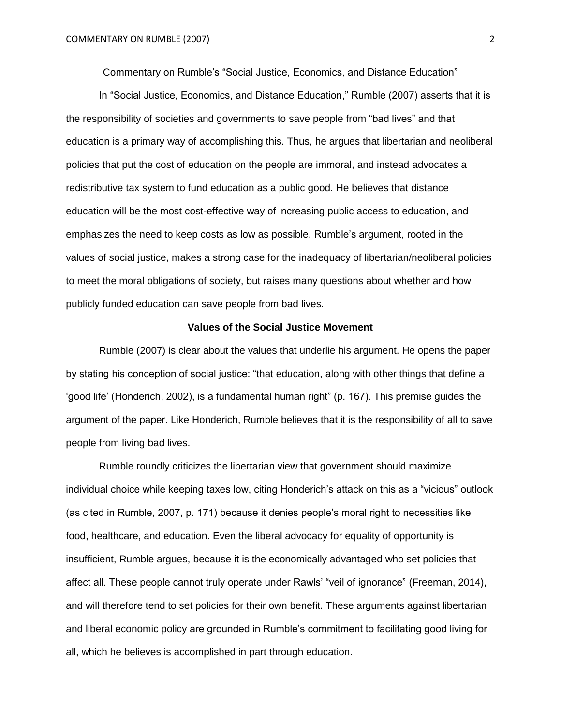Commentary on Rumble's "Social Justice, Economics, and Distance Education"

In "Social Justice, Economics, and Distance Education," Rumble (2007) asserts that it is the responsibility of societies and governments to save people from "bad lives" and that education is a primary way of accomplishing this. Thus, he argues that libertarian and neoliberal policies that put the cost of education on the people are immoral, and instead advocates a redistributive tax system to fund education as a public good. He believes that distance education will be the most cost-effective way of increasing public access to education, and emphasizes the need to keep costs as low as possible. Rumble's argument, rooted in the values of social justice, makes a strong case for the inadequacy of libertarian/neoliberal policies to meet the moral obligations of society, but raises many questions about whether and how publicly funded education can save people from bad lives.

#### **Values of the Social Justice Movement**

Rumble (2007) is clear about the values that underlie his argument. He opens the paper by stating his conception of social justice: "that education, along with other things that define a 'good life' (Honderich, 2002), is a fundamental human right" (p. 167). This premise guides the argument of the paper. Like Honderich, Rumble believes that it is the responsibility of all to save people from living bad lives.

Rumble roundly criticizes the libertarian view that government should maximize individual choice while keeping taxes low, citing Honderich's attack on this as a "vicious" outlook (as cited in Rumble, 2007, p. 171) because it denies people's moral right to necessities like food, healthcare, and education. Even the liberal advocacy for equality of opportunity is insufficient, Rumble argues, because it is the economically advantaged who set policies that affect all. These people cannot truly operate under Rawls' "veil of ignorance" (Freeman, 2014), and will therefore tend to set policies for their own benefit. These arguments against libertarian and liberal economic policy are grounded in Rumble's commitment to facilitating good living for all, which he believes is accomplished in part through education.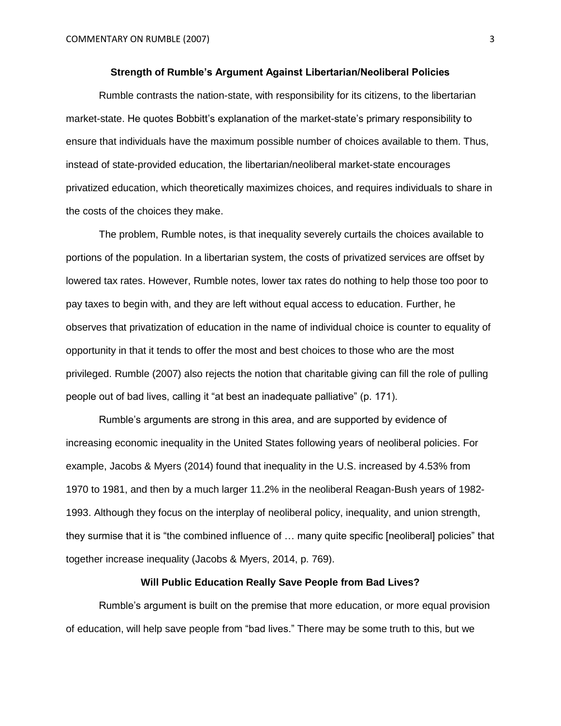### **Strength of Rumble's Argument Against Libertarian/Neoliberal Policies**

Rumble contrasts the nation-state, with responsibility for its citizens, to the libertarian market-state. He quotes Bobbitt's explanation of the market-state's primary responsibility to ensure that individuals have the maximum possible number of choices available to them. Thus, instead of state-provided education, the libertarian/neoliberal market-state encourages privatized education, which theoretically maximizes choices, and requires individuals to share in the costs of the choices they make.

The problem, Rumble notes, is that inequality severely curtails the choices available to portions of the population. In a libertarian system, the costs of privatized services are offset by lowered tax rates. However, Rumble notes, lower tax rates do nothing to help those too poor to pay taxes to begin with, and they are left without equal access to education. Further, he observes that privatization of education in the name of individual choice is counter to equality of opportunity in that it tends to offer the most and best choices to those who are the most privileged. Rumble (2007) also rejects the notion that charitable giving can fill the role of pulling people out of bad lives, calling it "at best an inadequate palliative" (p. 171).

Rumble's arguments are strong in this area, and are supported by evidence of increasing economic inequality in the United States following years of neoliberal policies. For example, Jacobs & Myers (2014) found that inequality in the U.S. increased by 4.53% from 1970 to 1981, and then by a much larger 11.2% in the neoliberal Reagan-Bush years of 1982- 1993. Although they focus on the interplay of neoliberal policy, inequality, and union strength, they surmise that it is "the combined influence of … many quite specific [neoliberal] policies" that together increase inequality (Jacobs & Myers, 2014, p. 769).

### **Will Public Education Really Save People from Bad Lives?**

Rumble's argument is built on the premise that more education, or more equal provision of education, will help save people from "bad lives." There may be some truth to this, but we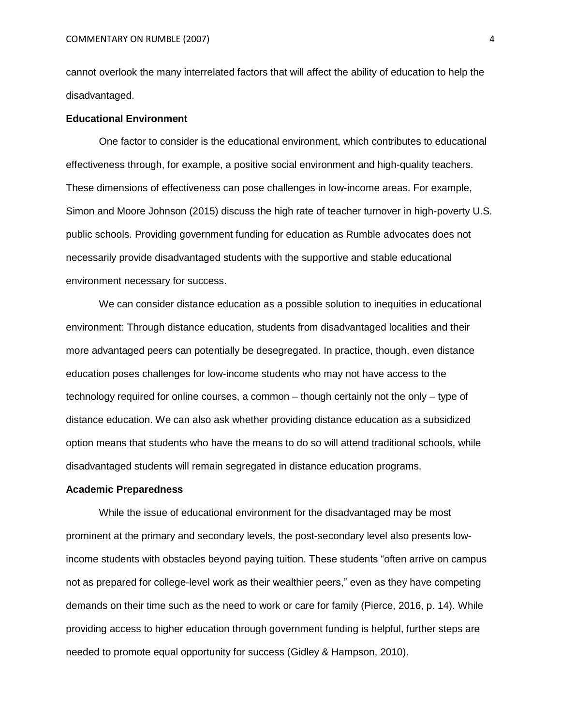cannot overlook the many interrelated factors that will affect the ability of education to help the disadvantaged.

#### **Educational Environment**

One factor to consider is the educational environment, which contributes to educational effectiveness through, for example, a positive social environment and high-quality teachers. These dimensions of effectiveness can pose challenges in low-income areas. For example, Simon and Moore Johnson (2015) discuss the high rate of teacher turnover in high-poverty U.S. public schools. Providing government funding for education as Rumble advocates does not necessarily provide disadvantaged students with the supportive and stable educational environment necessary for success.

We can consider distance education as a possible solution to inequities in educational environment: Through distance education, students from disadvantaged localities and their more advantaged peers can potentially be desegregated. In practice, though, even distance education poses challenges for low-income students who may not have access to the technology required for online courses, a common – though certainly not the only – type of distance education. We can also ask whether providing distance education as a subsidized option means that students who have the means to do so will attend traditional schools, while disadvantaged students will remain segregated in distance education programs.

### **Academic Preparedness**

While the issue of educational environment for the disadvantaged may be most prominent at the primary and secondary levels, the post-secondary level also presents lowincome students with obstacles beyond paying tuition. These students "often arrive on campus not as prepared for college-level work as their wealthier peers," even as they have competing demands on their time such as the need to work or care for family (Pierce, 2016, p. 14). While providing access to higher education through government funding is helpful, further steps are needed to promote equal opportunity for success (Gidley & Hampson, 2010).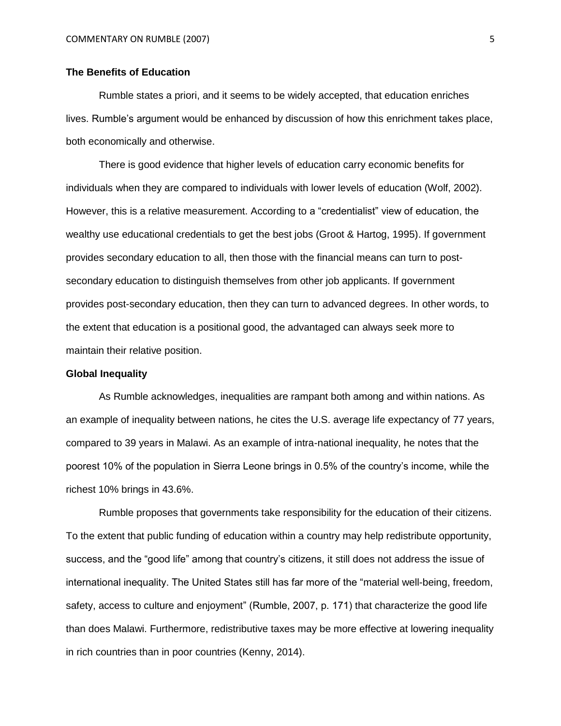# **The Benefits of Education**

Rumble states a priori, and it seems to be widely accepted, that education enriches lives. Rumble's argument would be enhanced by discussion of how this enrichment takes place, both economically and otherwise.

There is good evidence that higher levels of education carry economic benefits for individuals when they are compared to individuals with lower levels of education (Wolf, 2002). However, this is a relative measurement. According to a "credentialist" view of education, the wealthy use educational credentials to get the best jobs (Groot & Hartog, 1995). If government provides secondary education to all, then those with the financial means can turn to postsecondary education to distinguish themselves from other job applicants. If government provides post-secondary education, then they can turn to advanced degrees. In other words, to the extent that education is a positional good, the advantaged can always seek more to maintain their relative position.

#### **Global Inequality**

As Rumble acknowledges, inequalities are rampant both among and within nations. As an example of inequality between nations, he cites the U.S. average life expectancy of 77 years, compared to 39 years in Malawi. As an example of intra-national inequality, he notes that the poorest 10% of the population in Sierra Leone brings in 0.5% of the country's income, while the richest 10% brings in 43.6%.

Rumble proposes that governments take responsibility for the education of their citizens. To the extent that public funding of education within a country may help redistribute opportunity, success, and the "good life" among that country's citizens, it still does not address the issue of international inequality. The United States still has far more of the "material well-being, freedom, safety, access to culture and enjoyment" (Rumble, 2007, p. 171) that characterize the good life than does Malawi. Furthermore, redistributive taxes may be more effective at lowering inequality in rich countries than in poor countries (Kenny, 2014).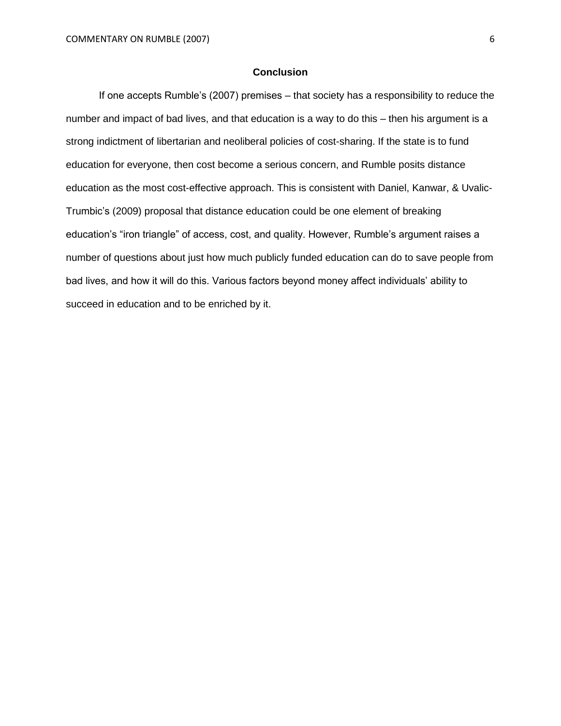# **Conclusion**

If one accepts Rumble's (2007) premises – that society has a responsibility to reduce the number and impact of bad lives, and that education is a way to do this – then his argument is a strong indictment of libertarian and neoliberal policies of cost-sharing. If the state is to fund education for everyone, then cost become a serious concern, and Rumble posits distance education as the most cost-effective approach. This is consistent with Daniel, Kanwar, & Uvalic-Trumbic's (2009) proposal that distance education could be one element of breaking education's "iron triangle" of access, cost, and quality. However, Rumble's argument raises a number of questions about just how much publicly funded education can do to save people from bad lives, and how it will do this. Various factors beyond money affect individuals' ability to succeed in education and to be enriched by it.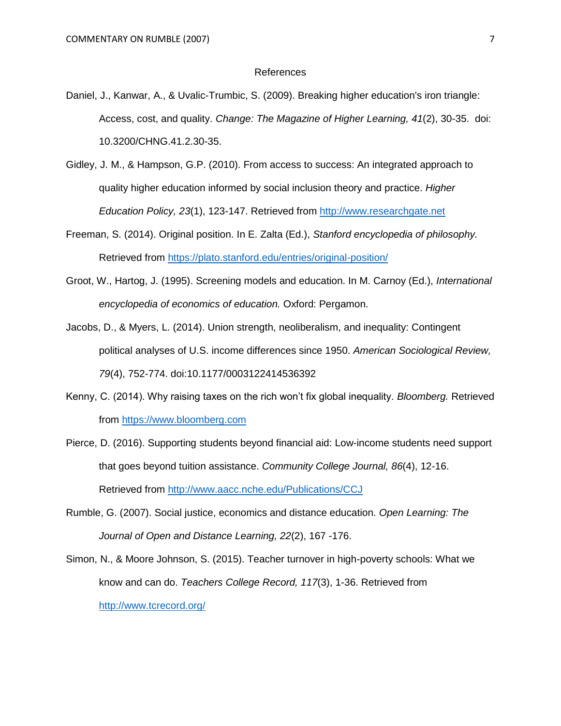#### References

- Daniel, J., Kanwar, A., & Uvalic-Trumbic, S. (2009). Breaking higher education's iron triangle: Access, cost, and quality. *Change: The Magazine of Higher Learning, 41*(2), 30-35. doi: 10.3200/CHNG.41.2.30-35.
- Gidley, J. M., & Hampson, G.P. (2010). From access to success: An integrated approach to quality higher education informed by social inclusion theory and practice. *Higher Education Policy, 23*(1), 123-147. Retrieved from [http://www.researchgate.net](http://www.researchgate.net/)
- Freeman, S. (2014). Original position. In E. Zalta (Ed.), *Stanford encyclopedia of philosophy.* Retrieved from<https://plato.stanford.edu/entries/original-position/>
- Groot, W., Hartog, J. (1995). Screening models and education. In M. Carnoy (Ed.), *International encyclopedia of economics of education.* Oxford: Pergamon.
- Jacobs, D., & Myers, L. (2014). Union strength, neoliberalism, and inequality: Contingent political analyses of U.S. income differences since 1950. *American Sociological Review, 79*(4), 752-774. doi:10.1177/0003122414536392
- Kenny, C. (2014). Why raising taxes on the rich won't fix global inequality. *Bloomberg.* Retrieved from [https://www.bloomberg.com](https://www.bloomberg.com/)
- Pierce, D. (2016). Supporting students beyond financial aid: Low-income students need support that goes beyond tuition assistance. *Community College Journal, 86*(4), 12-16. Retrieved from<http://www.aacc.nche.edu/Publications/CCJ>
- Rumble, G. (2007). Social justice, economics and distance education. *Open Learning: The Journal of Open and Distance Learning, 22*(2), 167 -176.
- Simon, N., & Moore Johnson, S. (2015). Teacher turnover in high-poverty schools: What we know and can do. *Teachers College Record, 117*(3), 1-36. Retrieved from <http://www.tcrecord.org/>